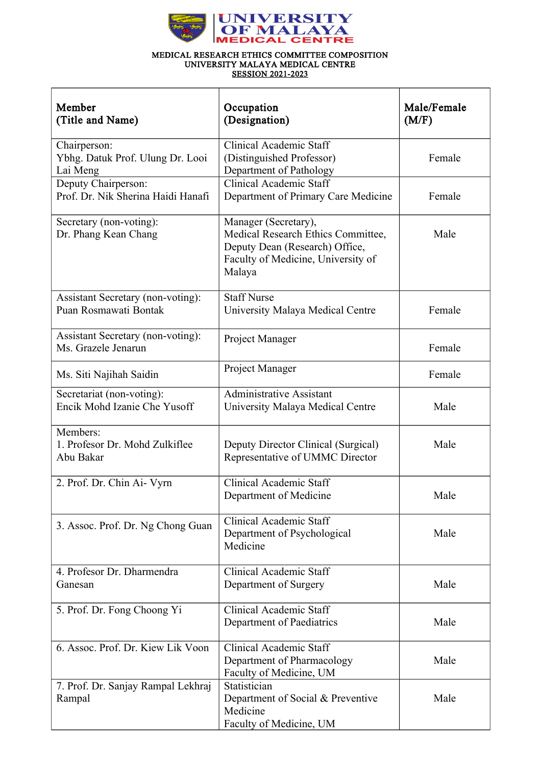

## MEDICAL RESEARCH ETHICS COMMITTEE COMPOSITION UNIVERSITY MALAYA MEDICAL CENTRE SESSION 2021-2023

| Member<br>(Title and Name)                                   | Occupation<br>(Designation)                                                                                                                  | Male/Female<br>(M/F) |
|--------------------------------------------------------------|----------------------------------------------------------------------------------------------------------------------------------------------|----------------------|
| Chairperson:<br>Ybhg. Datuk Prof. Ulung Dr. Looi<br>Lai Meng | Clinical Academic Staff<br>(Distinguished Professor)<br>Department of Pathology                                                              | Female               |
| Deputy Chairperson:<br>Prof. Dr. Nik Sherina Haidi Hanafi    | Clinical Academic Staff<br>Department of Primary Care Medicine                                                                               | Female               |
| Secretary (non-voting):<br>Dr. Phang Kean Chang              | Manager (Secretary),<br>Medical Research Ethics Committee,<br>Deputy Dean (Research) Office,<br>Faculty of Medicine, University of<br>Malaya | Male                 |
| Assistant Secretary (non-voting):<br>Puan Rosmawati Bontak   | <b>Staff Nurse</b><br>University Malaya Medical Centre                                                                                       | Female               |
| Assistant Secretary (non-voting):<br>Ms. Grazele Jenarun     | Project Manager                                                                                                                              | Female               |
| Ms. Siti Najihah Saidin                                      | Project Manager                                                                                                                              | Female               |
| Secretariat (non-voting):<br>Encik Mohd Izanie Che Yusoff    | <b>Administrative Assistant</b><br>University Malaya Medical Centre                                                                          | Male                 |
| Members:<br>1. Profesor Dr. Mohd Zulkiflee<br>Abu Bakar      | Deputy Director Clinical (Surgical)<br>Representative of UMMC Director                                                                       | Male                 |
| 2. Prof. Dr. Chin Ai- Vyrn                                   | <b>Clinical Academic Staff</b><br>Department of Medicine                                                                                     | Male                 |
| 3. Assoc. Prof. Dr. Ng Chong Guan                            | Clinical Academic Staff<br>Department of Psychological<br>Medicine                                                                           | Male                 |
| 4. Profesor Dr. Dharmendra<br>Ganesan                        | Clinical Academic Staff<br>Department of Surgery                                                                                             | Male                 |
| 5. Prof. Dr. Fong Choong Yi                                  | Clinical Academic Staff<br>Department of Paediatrics                                                                                         | Male                 |
| 6. Assoc. Prof. Dr. Kiew Lik Voon                            | <b>Clinical Academic Staff</b><br>Department of Pharmacology<br>Faculty of Medicine, UM                                                      | Male                 |
| 7. Prof. Dr. Sanjay Rampal Lekhraj<br>Rampal                 | Statistician<br>Department of Social & Preventive<br>Medicine<br>Faculty of Medicine, UM                                                     | Male                 |